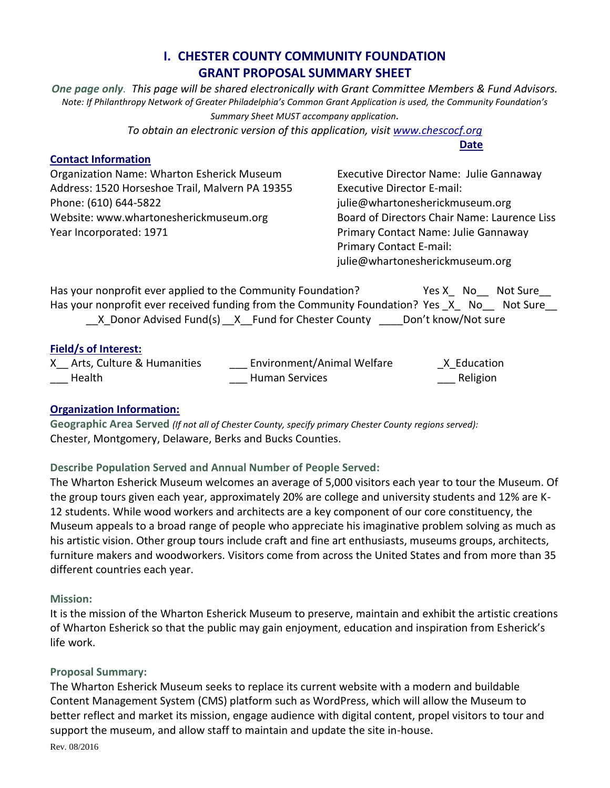# **I. CHESTER COUNTY COMMUNITY FOUNDATION GRANT PROPOSAL SUMMARY SHEET**

*One page only. This page will be shared electronically with Grant Committee Members & Fund Advisors. Note: If Philanthropy Network of Greater Philadelphia's Common Grant Application is used, the Community Foundation's Summary Sheet MUST accompany application.*

*To obtain an electronic version of this application, visi[t www.chescocf.org](http://www.chescocf.org/)*

#### **Contact Information**

**Date**

Organization Name: Wharton Esherick Museum Executive Director Name: Julie Gannaway Address: 1520 Horseshoe Trail, Malvern PA 19355 Executive Director E-mail: Phone: (610) 644-5822 entitled and the state of pullie in the pullie of pullie controller and pullie controller pullie controller and pullie controller and pullie controller and pullie controller and pullie controller and Website: www.whartonesherickmuseum.org Board of Directors Chair Name: Laurence Liss Year Incorporated: 1971 **Primary Contact Name: Julie Gannaway** 

Primary Contact E-mail: julie@whartonesherickmuseum.org

Has your nonprofit ever applied to the Community Foundation? The State Man Not Sure Has your nonprofit ever received funding from the Community Foundation? Yes X No Not Sure \_\_X\_Donor Advised Fund(s) \_\_X\_\_Fund for Chester County \_\_\_\_\_Don't know/Not sure

### **Field/s of Interest:**

| X Arts, Culture & Humanities | <b>Environment/Animal Welfare</b> | X Education |
|------------------------------|-----------------------------------|-------------|
| Health                       | <b>Human Services</b>             | Religion    |

## **Organization Information:**

**Geographic Area Served** *(If not all of Chester County, specify primary Chester County regions served):* Chester, Montgomery, Delaware, Berks and Bucks Counties.

## **Describe Population Served and Annual Number of People Served:**

The Wharton Esherick Museum welcomes an average of 5,000 visitors each year to tour the Museum. Of the group tours given each year, approximately 20% are college and university students and 12% are K-12 students. While wood workers and architects are a key component of our core constituency, the Museum appeals to a broad range of people who appreciate his imaginative problem solving as much as his artistic vision. Other group tours include craft and fine art enthusiasts, museums groups, architects, furniture makers and woodworkers. Visitors come from across the United States and from more than 35 different countries each year.

#### **Mission:**

It is the mission of the Wharton Esherick Museum to preserve, maintain and exhibit the artistic creations of Wharton Esherick so that the public may gain enjoyment, education and inspiration from Esherick's life work.

## **Proposal Summary:**

The Wharton Esherick Museum seeks to replace its current website with a modern and buildable Content Management System (CMS) platform such as WordPress, which will allow the Museum to better reflect and market its mission, engage audience with digital content, propel visitors to tour and support the museum, and allow staff to maintain and update the site in-house.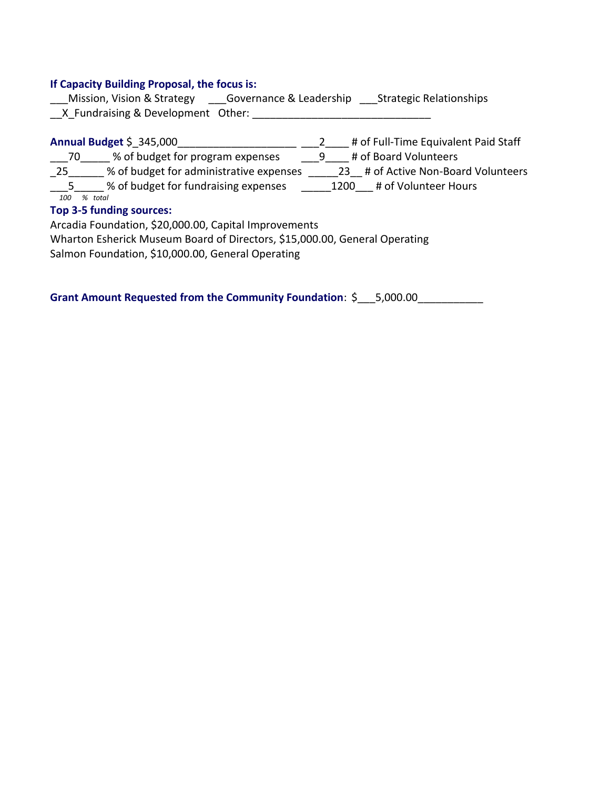#### **If Capacity Building Proposal, the focus is:**

Mission, Vision & Strategy Governance & Leadership Strategic Relationships \_\_X\_Fundraising & Development Other: \_\_\_\_\_\_\_\_\_\_\_\_\_\_\_\_\_\_\_\_\_\_\_\_\_\_\_\_\_\_

**Annual Budget** \$\_345,000\_\_\_\_\_\_\_\_\_\_\_\_\_\_\_\_\_\_\_\_ \_\_\_2\_\_\_\_ # of Full-Time Equivalent Paid Staff \_\_\_70\_\_\_\_\_ % of budget for program expenses  $\qquad \qquad -9$ \_\_\_ # of Board Volunteers \_25\_\_\_\_\_\_ % of budget for administrative expenses  $\_{$  \_\_\_\_\_23\_\_ # of Active Non-Board Volunteers \_\_\_5\_\_\_\_\_ % of budget for fundraising expenses \_\_\_\_\_1200\_\_\_ # of Volunteer Hours  *100 % total*  **Top 3-5 funding sources:**

Arcadia Foundation, \$20,000.00, Capital Improvements

Wharton Esherick Museum Board of Directors, \$15,000.00, General Operating

Salmon Foundation, \$10,000.00, General Operating

**Grant Amount Requested from the Community Foundation:**  $\zeta = 5,000.00$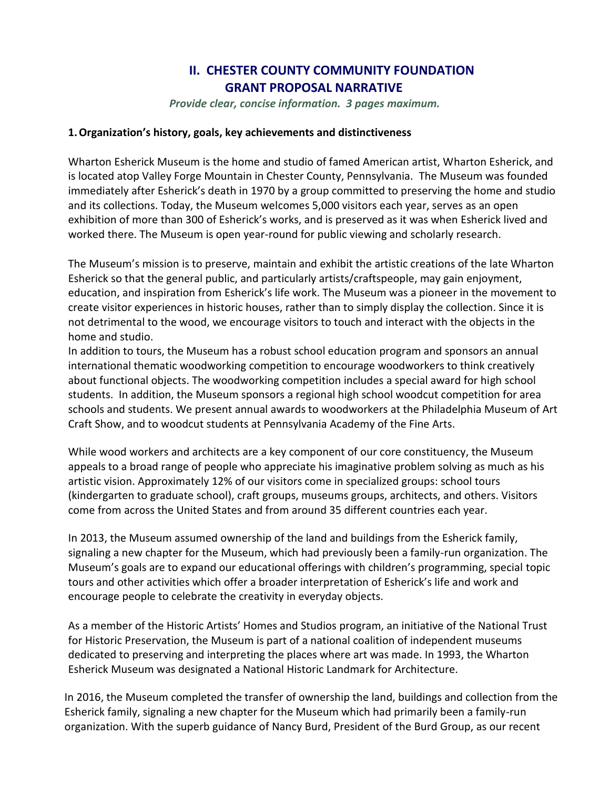# **II. CHESTER COUNTY COMMUNITY FOUNDATION GRANT PROPOSAL NARRATIVE**

*Provide clear, concise information. 3 pages maximum.* 

#### **1.Organization's history, goals, key achievements and distinctiveness**

Wharton Esherick Museum is the home and studio of famed American artist, Wharton Esherick, and is located atop Valley Forge Mountain in Chester County, Pennsylvania. The Museum was founded immediately after Esherick's death in 1970 by a group committed to preserving the home and studio and its collections. Today, the Museum welcomes 5,000 visitors each year, serves as an open exhibition of more than 300 of Esherick's works, and is preserved as it was when Esherick lived and worked there. The Museum is open year-round for public viewing and scholarly research.

The Museum's mission is to preserve, maintain and exhibit the artistic creations of the late Wharton Esherick so that the general public, and particularly artists/craftspeople, may gain enjoyment, education, and inspiration from Esherick's life work. The Museum was a pioneer in the movement to create visitor experiences in historic houses, rather than to simply display the collection. Since it is not detrimental to the wood, we encourage visitors to touch and interact with the objects in the home and studio.

In addition to tours, the Museum has a robust school education program and sponsors an annual international thematic woodworking competition to encourage woodworkers to think creatively about functional objects. The woodworking competition includes a special award for high school students. In addition, the Museum sponsors a regional high school woodcut competition for area schools and students. We present annual awards to woodworkers at the Philadelphia Museum of Art Craft Show, and to woodcut students at Pennsylvania Academy of the Fine Arts.

While wood workers and architects are a key component of our core constituency, the Museum appeals to a broad range of people who appreciate his imaginative problem solving as much as his artistic vision. Approximately 12% of our visitors come in specialized groups: school tours (kindergarten to graduate school), craft groups, museums groups, architects, and others. Visitors come from across the United States and from around 35 different countries each year.

In 2013, the Museum assumed ownership of the land and buildings from the Esherick family, signaling a new chapter for the Museum, which had previously been a family-run organization. The Museum's goals are to expand our educational offerings with children's programming, special topic tours and other activities which offer a broader interpretation of Esherick's life and work and encourage people to celebrate the creativity in everyday objects.

As a member of the Historic Artists' Homes and Studios program, an initiative of the National Trust for Historic Preservation, the Museum is part of a national coalition of independent museums dedicated to preserving and interpreting the places where art was made. In 1993, the Wharton Esherick Museum was designated a National Historic Landmark for Architecture.

In 2016, the Museum completed the transfer of ownership the land, buildings and collection from the Esherick family, signaling a new chapter for the Museum which had primarily been a family-run organization. With the superb guidance of Nancy Burd, President of the Burd Group, as our recent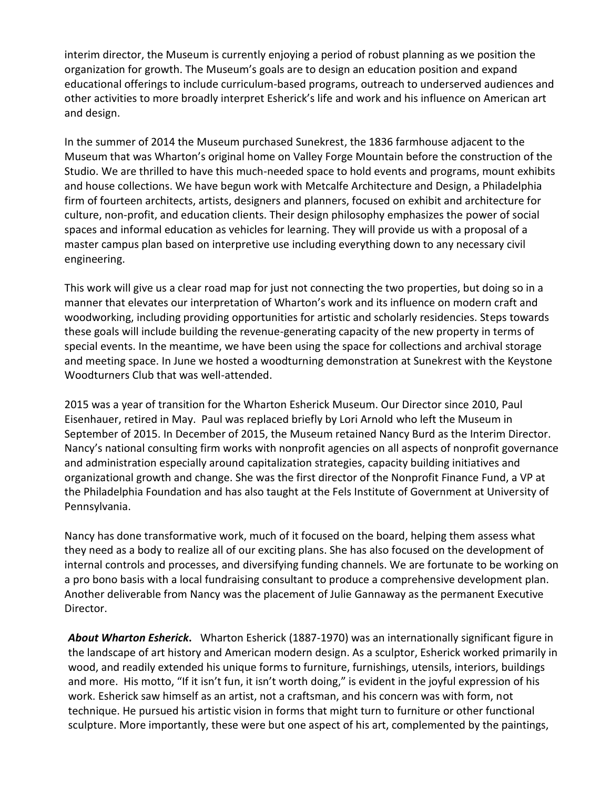interim director, the Museum is currently enjoying a period of robust planning as we position the organization for growth. The Museum's goals are to design an education position and expand educational offerings to include curriculum-based programs, outreach to underserved audiences and other activities to more broadly interpret Esherick's life and work and his influence on American art and design.

In the summer of 2014 the Museum purchased Sunekrest, the 1836 farmhouse adjacent to the Museum that was Wharton's original home on Valley Forge Mountain before the construction of the Studio. We are thrilled to have this much-needed space to hold events and programs, mount exhibits and house collections. We have begun work with Metcalfe Architecture and Design, a Philadelphia firm of fourteen architects, artists, designers and planners, focused on exhibit and architecture for culture, non-profit, and education clients. Their design philosophy emphasizes the power of social spaces and informal education as vehicles for learning. They will provide us with a proposal of a master campus plan based on interpretive use including everything down to any necessary civil engineering.

This work will give us a clear road map for just not connecting the two properties, but doing so in a manner that elevates our interpretation of Wharton's work and its influence on modern craft and woodworking, including providing opportunities for artistic and scholarly residencies. Steps towards these goals will include building the revenue-generating capacity of the new property in terms of special events. In the meantime, we have been using the space for collections and archival storage and meeting space. In June we hosted a woodturning demonstration at Sunekrest with the Keystone Woodturners Club that was well-attended.

2015 was a year of transition for the Wharton Esherick Museum. Our Director since 2010, Paul Eisenhauer, retired in May. Paul was replaced briefly by Lori Arnold who left the Museum in September of 2015. In December of 2015, the Museum retained Nancy Burd as the Interim Director. Nancy's national consulting firm works with nonprofit agencies on all aspects of nonprofit governance and administration especially around capitalization strategies, capacity building initiatives and organizational growth and change. She was the first director of the Nonprofit Finance Fund, a VP at the Philadelphia Foundation and has also taught at the Fels Institute of Government at University of Pennsylvania.

Nancy has done transformative work, much of it focused on the board, helping them assess what they need as a body to realize all of our exciting plans. She has also focused on the development of internal controls and processes, and diversifying funding channels. We are fortunate to be working on a pro bono basis with a local fundraising consultant to produce a comprehensive development plan. Another deliverable from Nancy was the placement of Julie Gannaway as the permanent Executive Director.

*About Wharton Esherick***.** Wharton Esherick (1887-1970) was an internationally significant figure in the landscape of art history and American modern design. As a sculptor, Esherick worked primarily in wood, and readily extended his unique forms to furniture, furnishings, utensils, interiors, buildings and more. His motto, "If it isn't fun, it isn't worth doing," is evident in the joyful expression of his work. Esherick saw himself as an artist, not a craftsman, and his concern was with form, not technique. He pursued his artistic vision in forms that might turn to furniture or other functional sculpture. More importantly, these were but one aspect of his art, complemented by the paintings,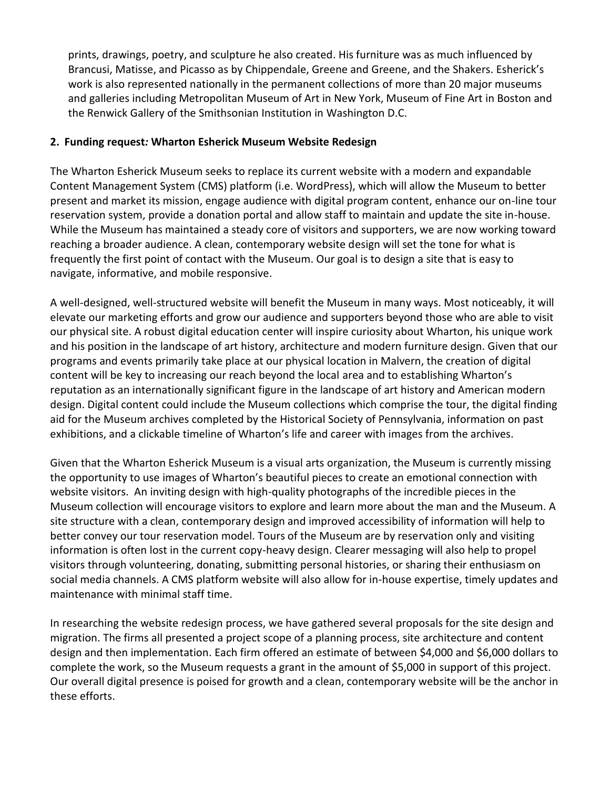prints, drawings, poetry, and sculpture he also created. His furniture was as much influenced by Brancusi, Matisse, and Picasso as by Chippendale, Greene and Greene, and the Shakers. Esherick's work is also represented nationally in the permanent collections of more than 20 major museums and galleries including Metropolitan Museum of Art in New York, Museum of Fine Art in Boston and the Renwick Gallery of the Smithsonian Institution in Washington D.C.

## **2. Funding request***:* **Wharton Esherick Museum Website Redesign**

The Wharton Esherick Museum seeks to replace its current website with a modern and expandable Content Management System (CMS) platform (i.e. WordPress), which will allow the Museum to better present and market its mission, engage audience with digital program content, enhance our on-line tour reservation system, provide a donation portal and allow staff to maintain and update the site in-house. While the Museum has maintained a steady core of visitors and supporters, we are now working toward reaching a broader audience. A clean, contemporary website design will set the tone for what is frequently the first point of contact with the Museum. Our goal is to design a site that is easy to navigate, informative, and mobile responsive.

A well-designed, well-structured website will benefit the Museum in many ways. Most noticeably, it will elevate our marketing efforts and grow our audience and supporters beyond those who are able to visit our physical site. A robust digital education center will inspire curiosity about Wharton, his unique work and his position in the landscape of art history, architecture and modern furniture design. Given that our programs and events primarily take place at our physical location in Malvern, the creation of digital content will be key to increasing our reach beyond the local area and to establishing Wharton's reputation as an internationally significant figure in the landscape of art history and American modern design. Digital content could include the Museum collections which comprise the tour, the digital finding aid for the Museum archives completed by the Historical Society of Pennsylvania, information on past exhibitions, and a clickable timeline of Wharton's life and career with images from the archives.

Given that the Wharton Esherick Museum is a visual arts organization, the Museum is currently missing the opportunity to use images of Wharton's beautiful pieces to create an emotional connection with website visitors. An inviting design with high-quality photographs of the incredible pieces in the Museum collection will encourage visitors to explore and learn more about the man and the Museum. A site structure with a clean, contemporary design and improved accessibility of information will help to better convey our tour reservation model. Tours of the Museum are by reservation only and visiting information is often lost in the current copy-heavy design. Clearer messaging will also help to propel visitors through volunteering, donating, submitting personal histories, or sharing their enthusiasm on social media channels. A CMS platform website will also allow for in-house expertise, timely updates and maintenance with minimal staff time.

In researching the website redesign process, we have gathered several proposals for the site design and migration. The firms all presented a project scope of a planning process, site architecture and content design and then implementation. Each firm offered an estimate of between \$4,000 and \$6,000 dollars to complete the work, so the Museum requests a grant in the amount of \$5,000 in support of this project. Our overall digital presence is poised for growth and a clean, contemporary website will be the anchor in these efforts.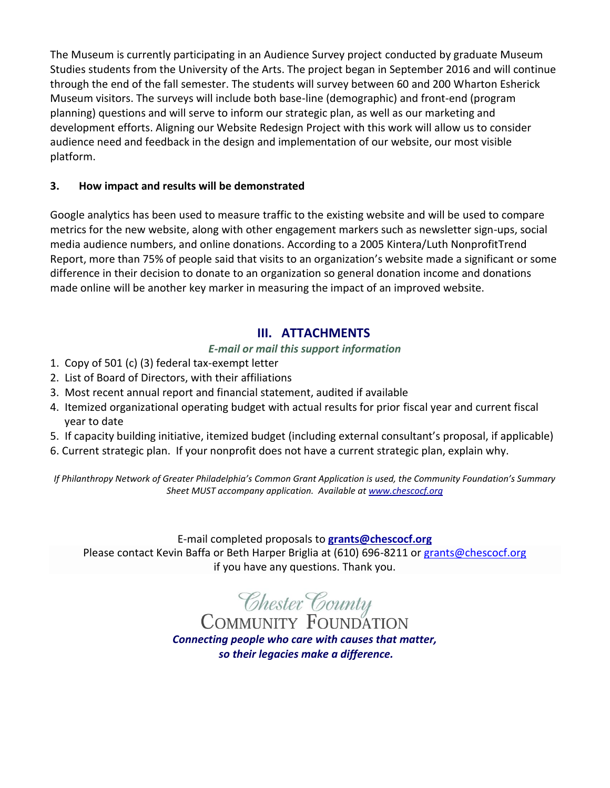The Museum is currently participating in an Audience Survey project conducted by graduate Museum Studies students from the University of the Arts. The project began in September 2016 and will continue through the end of the fall semester. The students will survey between 60 and 200 Wharton Esherick Museum visitors. The surveys will include both base-line (demographic) and front-end (program planning) questions and will serve to inform our strategic plan, as well as our marketing and development efforts. Aligning our Website Redesign Project with this work will allow us to consider audience need and feedback in the design and implementation of our website, our most visible platform.

## **3. How impact and results will be demonstrated**

Google analytics has been used to measure traffic to the existing website and will be used to compare metrics for the new website, along with other engagement markers such as newsletter sign-ups, social media audience numbers, and online donations. According to a 2005 Kintera/Luth NonprofitTrend Report, more than 75% of people said that visits to an organization's website made a significant or some difference in their decision to donate to an organization so general donation income and donations made online will be another key marker in measuring the impact of an improved website.

# **III. ATTACHMENTS**

*E-mail or mail this support information*

- 1. Copy of 501 (c) (3) federal tax-exempt letter
- 2. List of Board of Directors, with their affiliations
- 3. Most recent annual report and financial statement, audited if available
- 4. Itemized organizational operating budget with actual results for prior fiscal year and current fiscal year to date
- 5. If capacity building initiative, itemized budget (including external consultant's proposal, if applicable)
- 6. Current strategic plan. If your nonprofit does not have a current strategic plan, explain why.

*If Philanthropy Network of Greater Philadelphia's Common Grant Application is used, the Community Foundation's Summary Sheet MUST accompany application. Available at [www.chescocf.org](http://www.chescocf.org/)*

E-mail completed proposals to **[grants@chescocf.org](mailto:grants@chescocf.org)**

Please contact Kevin Baffa or Beth Harper Briglia at (610) 696-8211 o[r grants@chescocf.org](mailto:grants@chescocf.org) if you have any questions. Thank you.

**Chester County**<br>COMMUNITY FOUNDATION

*Connecting people who care with causes that matter, so their legacies make a difference.*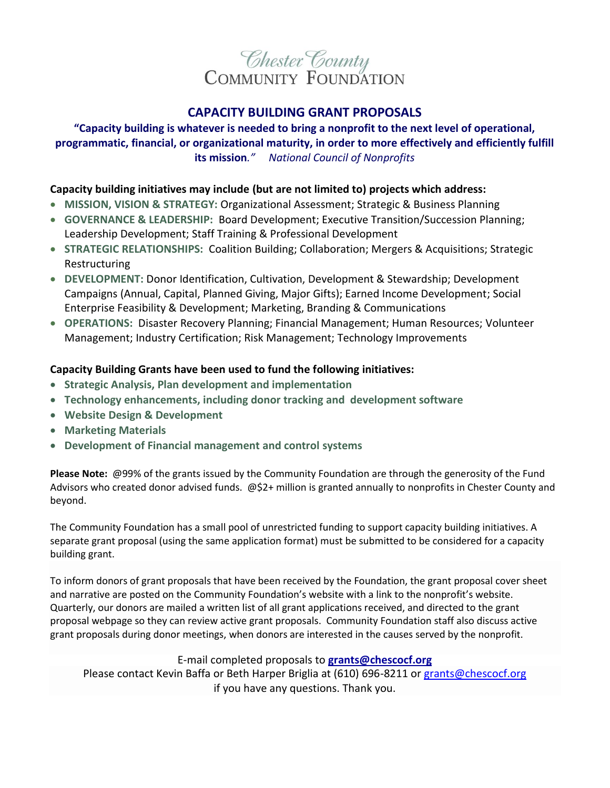

## **CAPACITY BUILDING GRANT PROPOSALS**

## **"Capacity building is whatever is needed to bring a nonprofit to the next level of operational, programmatic, financial, or organizational maturity, in order to more effectively and efficiently fulfill its mission***." National Council of Nonprofits*

### **Capacity building initiatives may include (but are not limited to) projects which address:**

- **MISSION, VISION & STRATEGY:** Organizational Assessment; Strategic & Business Planning
- **GOVERNANCE & LEADERSHIP:** Board Development; Executive Transition/Succession Planning; Leadership Development; Staff Training & Professional Development
- **STRATEGIC RELATIONSHIPS:** Coalition Building; Collaboration; Mergers & Acquisitions; Strategic Restructuring
- **DEVELOPMENT:** Donor Identification, Cultivation, Development & Stewardship; Development Campaigns (Annual, Capital, Planned Giving, Major Gifts); Earned Income Development; Social Enterprise Feasibility & Development; Marketing, Branding & Communications
- **OPERATIONS:** Disaster Recovery Planning; Financial Management; Human Resources; Volunteer Management; Industry Certification; Risk Management; Technology Improvements

### **Capacity Building Grants have been used to fund the following initiatives:**

- **Strategic Analysis, Plan development and implementation**
- **Technology enhancements, including donor tracking and development software**
- **Website Design & Development**
- **Marketing Materials**
- **Development of Financial management and control systems**

**Please Note:** @99% of the grants issued by the Community Foundation are through the generosity of the Fund Advisors who created donor advised funds. @\$2+ million is granted annually to nonprofits in Chester County and beyond.

The Community Foundation has a small pool of unrestricted funding to support capacity building initiatives. A separate grant proposal (using the same application format) must be submitted to be considered for a capacity building grant.

To inform donors of grant proposals that have been received by the Foundation, the grant proposal cover sheet and narrative are posted on the Community Foundation's website with a link to the nonprofit's website. Quarterly, our donors are mailed a written list of all grant applications received, and directed to the grant proposal webpage so they can review active grant proposals. Community Foundation staff also discuss active grant proposals during donor meetings, when donors are interested in the causes served by the nonprofit.

#### E-mail completed proposals to **[grants@chescocf.org](mailto:grants@chescocf.org)**

Please contact Kevin Baffa or Beth Harper Briglia at (610) 696-8211 o[r grants@chescocf.org](mailto:grants@chescocf.org) if you have any questions. Thank you.